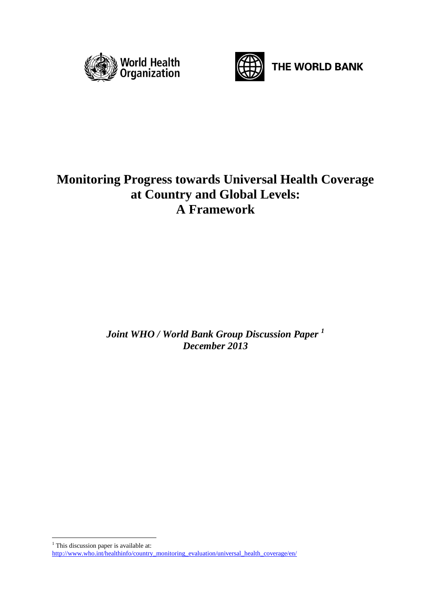



THE WORLD BANK

# **Monitoring Progress towards Universal Health Coverage at Country and Global Levels: A Framework**

*Joint WHO / World Bank Group Discussion Paper <sup>1</sup> December 2013*

<u>.</u>  $1$  This discussion paper is available at:

[http://www.who.int/healthinfo/country\\_monitoring\\_evaluation/universal\\_health\\_coverage/en/](http://www.who.int/healthinfo/country_monitoring_evaluation/universal_health_coverage/en/)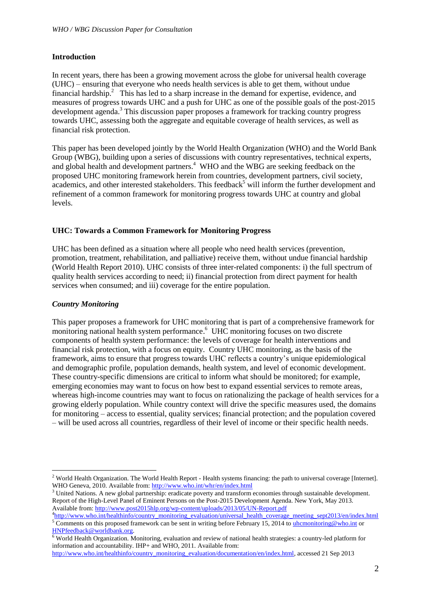### **Introduction**

In recent years, there has been a growing movement across the globe for universal health coverage (UHC) – ensuring that everyone who needs health services is able to get them, without undue financial hardship.<sup>2</sup> This has led to a sharp increase in the demand for expertise, evidence, and measures of progress towards UHC and a push for UHC as one of the possible goals of the post-2015 development agenda.<sup>3</sup> This discussion paper proposes a framework for tracking country progress towards UHC, assessing both the aggregate and equitable coverage of health services, as well as financial risk protection.

This paper has been developed jointly by the World Health Organization (WHO) and the World Bank Group (WBG), building upon a series of discussions with country representatives, technical experts, and global health and development partners.<sup>4</sup> WHO and the WBG are seeking feedback on the proposed UHC monitoring framework herein from countries, development partners, civil society, academics, and other interested stakeholders. This feedback<sup>5</sup> will inform the further development and refinement of a common framework for monitoring progress towards UHC at country and global levels.

#### **UHC: Towards a Common Framework for Monitoring Progress**

UHC has been defined as a situation where all people who need health services (prevention, promotion, treatment, rehabilitation, and palliative) receive them, without undue financial hardship (World Health Report 2010). UHC consists of three inter-related components: i) the full spectrum of quality health services according to need; ii) financial protection from direct payment for health services when consumed; and iii) coverage for the entire population.

# *Country Monitoring*

1

This paper proposes a framework for UHC monitoring that is part of a comprehensive framework for monitoring national health system performance. 6 UHC monitoring focuses on two discrete components of health system performance: the levels of coverage for health interventions and financial risk protection, with a focus on equity. Country UHC monitoring, as the basis of the framework, aims to ensure that progress towards UHC reflects a country's unique epidemiological and demographic profile, population demands, health system, and level of economic development. These country-specific dimensions are critical to inform what should be monitored; for example, emerging economies may want to focus on how best to expand essential services to remote areas, whereas high-income countries may want to focus on rationalizing the package of health services for a growing elderly population. While country context will drive the specific measures used, the domains for monitoring – access to essential, quality services; financial protection; and the population covered – will be used across all countries, regardless of their level of income or their specific health needs.

<sup>&</sup>lt;sup>2</sup> World Health Organization. The World Health Report - Health systems financing: the path to universal coverage [Internet]. WHO Geneva, 2010. Available from[: http://www.who.int/whr/en/index.html](http://www.who.int/whr/en/index.html)

<sup>&</sup>lt;sup>3</sup> United Nations. A new global partnership: eradicate poverty and transform economies through sustainable development. Report of the High-Level Panel of Eminent Persons on the Post-2015 Development Agenda. New York, May 2013. Available from[: http://www.post2015hlp.org/wp-content/uploads/2013/05/UN-Report.pdf](http://www.post2015hlp.org/wp-content/uploads/2013/05/UN-Report.pdf)

<sup>&</sup>lt;sup>4</sup>[http://www.who.int/healthinfo/country\\_monitoring\\_evaluation/universal\\_health\\_coverage\\_meeting\\_sept2013/en/index.html](http://www.who.int/healthinfo/country_monitoring_evaluation/universal_health_coverage_meeting_sept2013/en/index.html) 5 Comments on this proposed framework can be sent in writing before February 15, 2014 t[o uhcmonitoring@who.int](mailto:uhcmonitoring@who.int) or [HNPfeedback@worldbank.org.](mailto:HNPfeedback@worldbank.org)

 $6$  World Health Organization. Monitoring, evaluation and review of national health strategies: a country-led platform for information and accountability. IHP+ and WHO, 2011. Available from:

[http://www.who.int/healthinfo/country\\_monitoring\\_evaluation/documentation/en/index.html,](http://www.who.int/healthinfo/country_monitoring_evaluation/documentation/en/index.html) accessed 21 Sep 2013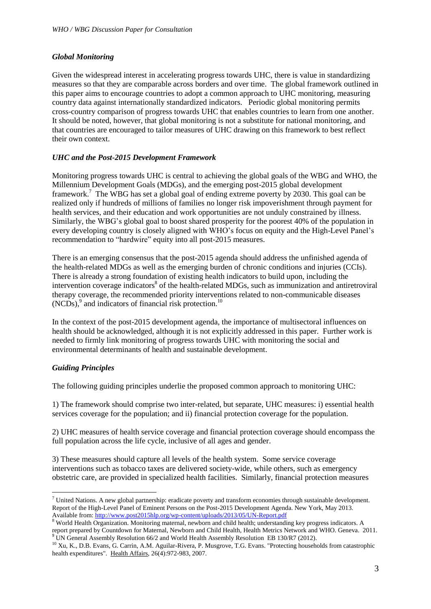# *Global Monitoring*

Given the widespread interest in accelerating progress towards UHC, there is value in standardizing measures so that they are comparable across borders and over time. The global framework outlined in this paper aims to encourage countries to adopt a common approach to UHC monitoring, measuring country data against internationally standardized indicators. Periodic global monitoring permits cross-country comparison of progress towards UHC that enables countries to learn from one another. It should be noted, however, that global monitoring is not a substitute for national monitoring, and that countries are encouraged to tailor measures of UHC drawing on this framework to best reflect their own context.

# *UHC and the Post-2015 Development Framework*

Monitoring progress towards UHC is central to achieving the global goals of the WBG and WHO, the Millennium Development Goals (MDGs), and the emerging post-2015 global development framework.<sup>7</sup> The WBG has set a global goal of ending extreme poverty by 2030. This goal can be realized only if hundreds of millions of families no longer risk impoverishment through payment for health services, and their education and work opportunities are not unduly constrained by illness. Similarly, the WBG's global goal to boost shared prosperity for the poorest 40% of the population in every developing country is closely aligned with WHO's focus on equity and the High-Level Panel's recommendation to "hardwire" equity into all post-2015 measures.

There is an emerging consensus that the post-2015 agenda should address the unfinished agenda of the health-related MDGs as well as the emerging burden of chronic conditions and injuries (CCIs). There is already a strong foundation of existing health indicators to build upon, including the intervention coverage indicators<sup>8</sup> of the health-related MDGs, such as immunization and antiretroviral therapy coverage, the recommended priority interventions related to non-communicable diseases (NCDs),<sup>9</sup> and indicators of financial risk protection.<sup>10</sup>

In the context of the post-2015 development agenda, the importance of multisectoral influences on health should be acknowledged, although it is not explicitly addressed in this paper. Further work is needed to firmly link monitoring of progress towards UHC with monitoring the social and environmental determinants of health and sustainable development.

#### *Guiding Principles*

1

The following guiding principles underlie the proposed common approach to monitoring UHC:

1) The framework should comprise two inter-related, but separate, UHC measures: i) essential health services coverage for the population; and ii) financial protection coverage for the population.

2) UHC measures of health service coverage and financial protection coverage should encompass the full population across the life cycle, inclusive of all ages and gender.

3) These measures should capture all levels of the health system. Some service coverage interventions such as tobacco taxes are delivered society-wide, while others, such as emergency obstetric care, are provided in specialized health facilities. Similarly, financial protection measures

 $^7$  United Nations. A new global partnership: eradicate poverty and transform economies through sustainable development. Report of the High-Level Panel of Eminent Persons on the Post-2015 Development Agenda. New York, May 2013. Available from[: http://www.post2015hlp.org/wp-content/uploads/2013/05/UN-Report.pdf](http://www.post2015hlp.org/wp-content/uploads/2013/05/UN-Report.pdf)

<sup>&</sup>lt;sup>8</sup> World Health Organization. Monitoring maternal, newborn and child health; understanding key progress indicators. A report prepared by Countdown for Maternal, Newborn and Child Health, Health Metrics Network and WHO. Geneva. 2011.  $9$  UN General Assembly Resolution 66/2 and World Health Assembly Resolution EB 130/R7 (2012).

<sup>&</sup>lt;sup>10</sup> Xu, K., D.B. Evans, G. Carrin, A.M. Aguilar-Rivera, P. Musgrove, T.G. Evans. "Protecting households from catastrophic health expenditures". Health Affairs, 26(4):972-983, 2007.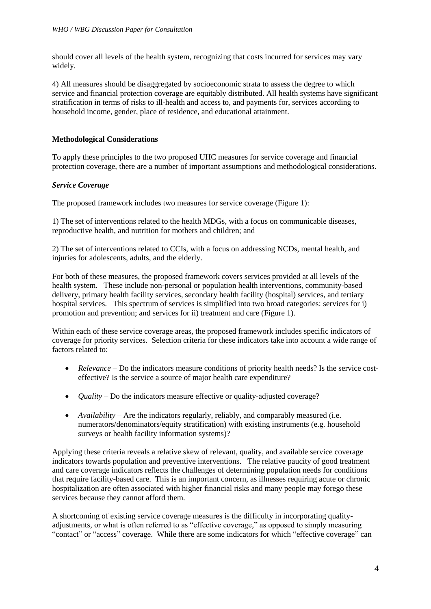should cover all levels of the health system, recognizing that costs incurred for services may vary widely.

4) All measures should be disaggregated by socioeconomic strata to assess the degree to which service and financial protection coverage are equitably distributed. All health systems have significant stratification in terms of risks to ill-health and access to, and payments for, services according to household income, gender, place of residence, and educational attainment.

# **Methodological Considerations**

To apply these principles to the two proposed UHC measures for service coverage and financial protection coverage, there are a number of important assumptions and methodological considerations.

# *Service Coverage*

The proposed framework includes two measures for service coverage (Figure 1):

1) The set of interventions related to the health MDGs, with a focus on communicable diseases, reproductive health, and nutrition for mothers and children; and

2) The set of interventions related to CCIs, with a focus on addressing NCDs, mental health, and injuries for adolescents, adults, and the elderly.

For both of these measures, the proposed framework covers services provided at all levels of the health system. These include non-personal or population health interventions, community-based delivery, primary health facility services, secondary health facility (hospital) services, and tertiary hospital services. This spectrum of services is simplified into two broad categories: services for i) promotion and prevention; and services for ii) treatment and care (Figure 1).

Within each of these service coverage areas, the proposed framework includes specific indicators of coverage for priority services. Selection criteria for these indicators take into account a wide range of factors related to:

- *Relevance* Do the indicators measure conditions of priority health needs? Is the service costeffective? Is the service a source of major health care expenditure?
- *Quality* Do the indicators measure effective or quality-adjusted coverage?
- *Availability* Are the indicators regularly, reliably, and comparably measured (i.e. numerators/denominators/equity stratification) with existing instruments (e.g. household surveys or health facility information systems)?

Applying these criteria reveals a relative skew of relevant, quality, and available service coverage indicators towards population and preventive interventions. The relative paucity of good treatment and care coverage indicators reflects the challenges of determining population needs for conditions that require facility-based care. This is an important concern, as illnesses requiring acute or chronic hospitalization are often associated with higher financial risks and many people may forego these services because they cannot afford them.

A shortcoming of existing service coverage measures is the difficulty in incorporating qualityadjustments, or what is often referred to as "effective coverage," as opposed to simply measuring "contact" or "access" coverage. While there are some indicators for which "effective coverage" can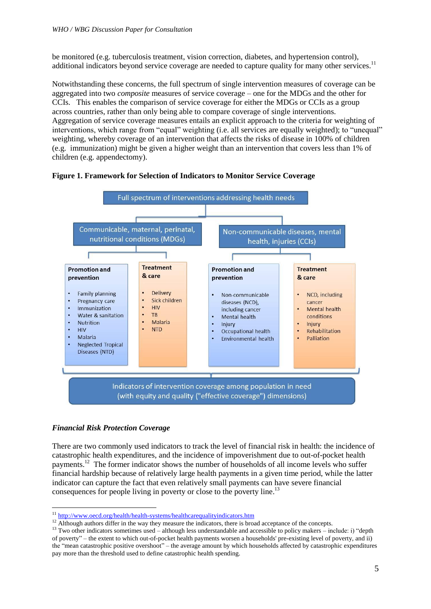be monitored (e.g. tuberculosis treatment, vision correction, diabetes, and hypertension control), additional indicators beyond service coverage are needed to capture quality for many other services.<sup>11</sup>

Notwithstanding these concerns, the full spectrum of single intervention measures of coverage can be aggregated into two *composite* measures of service coverage – one for the MDGs and the other for CCIs. This enables the comparison of service coverage for either the MDGs or CCIs as a group across countries, rather than only being able to compare coverage of single interventions. Aggregation of service coverage measures entails an explicit approach to the criteria for weighting of interventions, which range from "equal" weighting (i.e. all services are equally weighted); to "unequal" weighting, whereby coverage of an intervention that affects the risks of disease in 100% of children (e.g. immunization) might be given a higher weight than an intervention that covers less than 1% of children (e.g. appendectomy).





# *Financial Risk Protection Coverage*

1

There are two commonly used indicators to track the level of financial risk in health: the incidence of catastrophic health expenditures, and the incidence of impoverishment due to out-of-pocket health payments.<sup>12</sup> The former indicator shows the number of households of all income levels who suffer financial hardship because of relatively large health payments in a given time period, while the latter indicator can capture the fact that even relatively small payments can have severe financial consequences for people living in poverty or close to the poverty line.<sup>13</sup>

<sup>&</sup>lt;sup>11</sup> <http://www.oecd.org/health/health-systems/healthcarequalityindicators.htm>

<sup>&</sup>lt;sup>12</sup> Although authors differ in the way they measure the indicators, there is broad acceptance of the concepts.

<sup>&</sup>lt;sup>13</sup> Two other indicators sometimes used – although less understandable and accessible to policy makers – include: i) "depth of poverty" – the extent to which out-of-pocket health payments worsen a households' pre-existing level of poverty, and ii) the "mean catastrophic positive overshoot" – the average amount by which households affected by catastrophic expenditures pay more than the threshold used to define catastrophic health spending.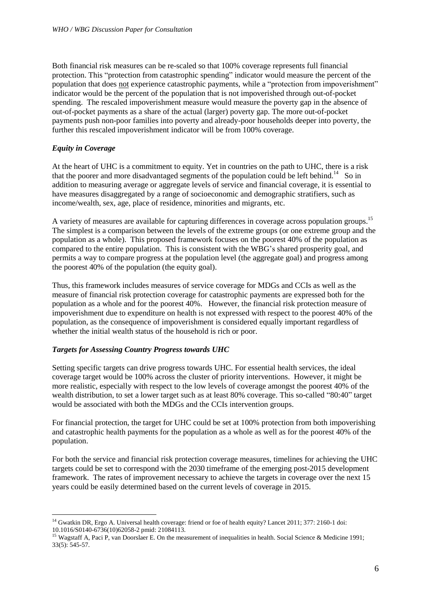Both financial risk measures can be re-scaled so that 100% coverage represents full financial protection. This "protection from catastrophic spending" indicator would measure the percent of the population that does not experience catastrophic payments, while a "protection from impoverishment" indicator would be the percent of the population that is not impoverished through out-of-pocket spending. The rescaled impoverishment measure would measure the poverty gap in the absence of out-of-pocket payments as a share of the actual (larger) poverty gap. The more out-of-pocket payments push non-poor families into poverty and already-poor households deeper into poverty, the further this rescaled impoverishment indicator will be from 100% coverage.

# *Equity in Coverage*

<u>.</u>

At the heart of UHC is a commitment to equity. Yet in countries on the path to UHC, there is a risk that the poorer and more disadvantaged segments of the population could be left behind.<sup>14</sup> So in addition to measuring average or aggregate levels of service and financial coverage, it is essential to have measures disaggregated by a range of socioeconomic and demographic stratifiers, such as income/wealth, sex, age, place of residence, minorities and migrants, etc.

A variety of measures are available for capturing differences in coverage across population groups.<sup>15</sup> The simplest is a comparison between the levels of the extreme groups (or one extreme group and the population as a whole). This proposed framework focuses on the poorest 40% of the population as compared to the entire population. This is consistent with the WBG's shared prosperity goal, and permits a way to compare progress at the population level (the aggregate goal) and progress among the poorest 40% of the population (the equity goal).

Thus, this framework includes measures of service coverage for MDGs and CCIs as well as the measure of financial risk protection coverage for catastrophic payments are expressed both for the population as a whole and for the poorest 40%. However, the financial risk protection measure of impoverishment due to expenditure on health is not expressed with respect to the poorest 40% of the population, as the consequence of impoverishment is considered equally important regardless of whether the initial wealth status of the household is rich or poor.

#### *Targets for Assessing Country Progress towards UHC*

Setting specific targets can drive progress towards UHC. For essential health services, the ideal coverage target would be 100% across the cluster of priority interventions. However, it might be more realistic, especially with respect to the low levels of coverage amongst the poorest 40% of the wealth distribution, to set a lower target such as at least 80% coverage. This so-called "80:40" target would be associated with both the MDGs and the CCIs intervention groups.

For financial protection, the target for UHC could be set at 100% protection from both impoverishing and catastrophic health payments for the population as a whole as well as for the poorest 40% of the population.

For both the service and financial risk protection coverage measures, timelines for achieving the UHC targets could be set to correspond with the 2030 timeframe of the emerging post-2015 development framework. The rates of improvement necessary to achieve the targets in coverage over the next 15 years could be easily determined based on the current levels of coverage in 2015.

<sup>&</sup>lt;sup>14</sup> Gwatkin DR, Ergo A. Universal health coverage: friend or foe of health equity? Lancet 2011; 377: 2160-1 doi: 10.1016/S0140-6736(10)62058-2 pmid: 21084113.

<sup>&</sup>lt;sup>15</sup> Wagstaff A, Paci P, van Doorslaer E. On the measurement of inequalities in health. Social Science & Medicine 1991; 33(5): 545-57.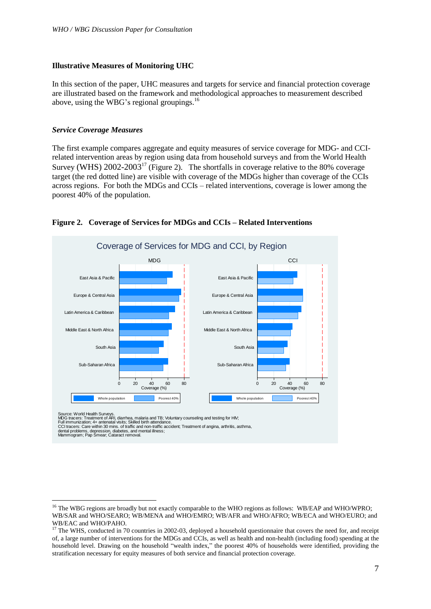### **Illustrative Measures of Monitoring UHC**

In this section of the paper, UHC measures and targets for service and financial protection coverage are illustrated based on the framework and methodological approaches to measurement described above, using the WBG's regional groupings.<sup>16</sup>

#### *Service Coverage Measures*

The first example compares aggregate and equity measures of service coverage for MDG- and CCIrelated intervention areas by region using data from household surveys and from the World Health Survey (WHS)  $2002-2003^{17}$  (Figure 2). The shortfalls in coverage relative to the 80% coverage target (the red dotted line) are visible with coverage of the MDGs higher than coverage of the CCIs across regions. For both the MDGs and CCIs – related interventions, coverage is lower among the poorest 40% of the population.

![](_page_6_Figure_5.jpeg)

#### **Figure 2. Coverage of Services for MDGs and CCIs – Related Interventions**

<u>.</u>

Source: World Health Surveys.<br>MDG tracers: Treatment of ARI, diarrhea, malaria and TB; Voluntary counseling and testing for HIV;<br>Full immunization; 4+ antenatal visits; Skilled birth attendance.<br>CCI tracers: Care within 30

dental problems, depression, diabetes, and mental illness;<br>Mammogram; Pap Smear; Cataract removal.

<sup>&</sup>lt;sup>16</sup> The WBG regions are broadly but not exactly comparable to the WHO regions as follows: WB/EAP and WHO/WPRO; WB/SAR and WHO/SEARO; WB/MENA and WHO/EMRO; WB/AFR and WHO/AFRO; WB/ECA and WHO/EURO; and WB/EAC and WHO/PAHO.

<sup>&</sup>lt;sup>17</sup> The WHS, conducted in 70 countries in 2002-03, deployed a household questionnaire that covers the need for, and receipt of, a large number of interventions for the MDGs and CCIs, as well as health and non-health (including food) spending at the household level. Drawing on the household "wealth index," the poorest 40% of households were identified, providing the stratification necessary for equity measures of both service and financial protection coverage.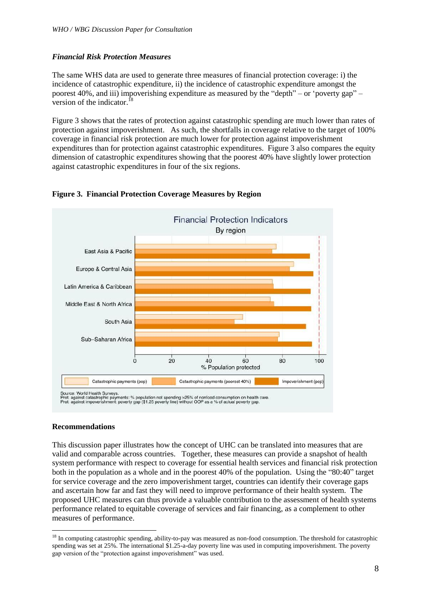# *Financial Risk Protection Measures*

The same WHS data are used to generate three measures of financial protection coverage: i) the incidence of catastrophic expenditure, ii) the incidence of catastrophic expenditure amongst the poorest 40%, and iii) impoverishing expenditure as measured by the "depth" – or 'poverty gap" – version of the indicator.<sup>18</sup>

Figure 3 shows that the rates of protection against catastrophic spending are much lower than rates of protection against impoverishment. As such, the shortfalls in coverage relative to the target of 100% coverage in financial risk protection are much lower for protection against impoverishment expenditures than for protection against catastrophic expenditures. Figure 3 also compares the equity dimension of catastrophic expenditures showing that the poorest 40% have slightly lower protection against catastrophic expenditures in four of the six regions.

![](_page_7_Figure_4.jpeg)

#### **Figure 3. Financial Protection Coverage Measures by Region**

#### **Recommendations**

1

This discussion paper illustrates how the concept of UHC can be translated into measures that are valid and comparable across countries. Together, these measures can provide a snapshot of health system performance with respect to coverage for essential health services and financial risk protection both in the population as a whole and in the poorest 40% of the population. Using the "80:40" target for service coverage and the zero impoverishment target, countries can identify their coverage gaps and ascertain how far and fast they will need to improve performance of their health system. The proposed UHC measures can thus provide a valuable contribution to the assessment of health systems performance related to equitable coverage of services and fair financing, as a complement to other measures of performance.

<sup>&</sup>lt;sup>18</sup> In computing catastrophic spending, ability-to-pay was measured as non-food consumption. The threshold for catastrophic spending was set at 25%. The international \$1.25-a-day poverty line was used in computing impoverishment. The poverty gap version of the "protection against impoverishment" was used.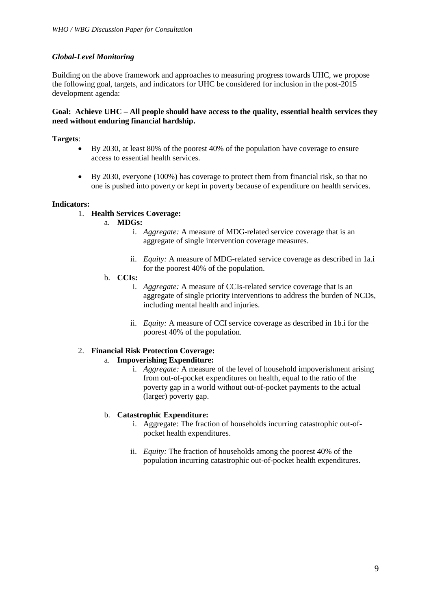# *Global-Level Monitoring*

Building on the above framework and approaches to measuring progress towards UHC, we propose the following goal, targets, and indicators for UHC be considered for inclusion in the post-2015 development agenda:

### **Goal: Achieve UHC – All people should have access to the quality, essential health services they need without enduring financial hardship.**

# **Targets**:

- By 2030, at least 80% of the poorest 40% of the population have coverage to ensure access to essential health services.
- By 2030, everyone (100%) has coverage to protect them from financial risk, so that no one is pushed into poverty or kept in poverty because of expenditure on health services.

#### **Indicators:**

# 1. **Health Services Coverage:**

# a. **MDGs:**

- i. *Aggregate:* A measure of MDG-related service coverage that is an aggregate of single intervention coverage measures.
- ii. *Equity:* A measure of MDG-related service coverage as described in 1a.i for the poorest 40% of the population.
- b. **CCIs:** 
	- i. *Aggregate:* A measure of CCIs-related service coverage that is an aggregate of single priority interventions to address the burden of NCDs, including mental health and injuries.
	- ii. *Equity:* A measure of CCI service coverage as described in 1b.i for the poorest 40% of the population.

#### 2. **Financial Risk Protection Coverage:**

#### a. **Impoverishing Expenditure:**

i. *Aggregate:* A measure of the level of household impoverishment arising from out-of-pocket expenditures on health, equal to the ratio of the poverty gap in a world without out-of-pocket payments to the actual (larger) poverty gap.

#### b. **Catastrophic Expenditure:**

- i. Aggregate: The fraction of households incurring catastrophic out-ofpocket health expenditures.
- ii. *Equity:* The fraction of households among the poorest 40% of the population incurring catastrophic out-of-pocket health expenditures.